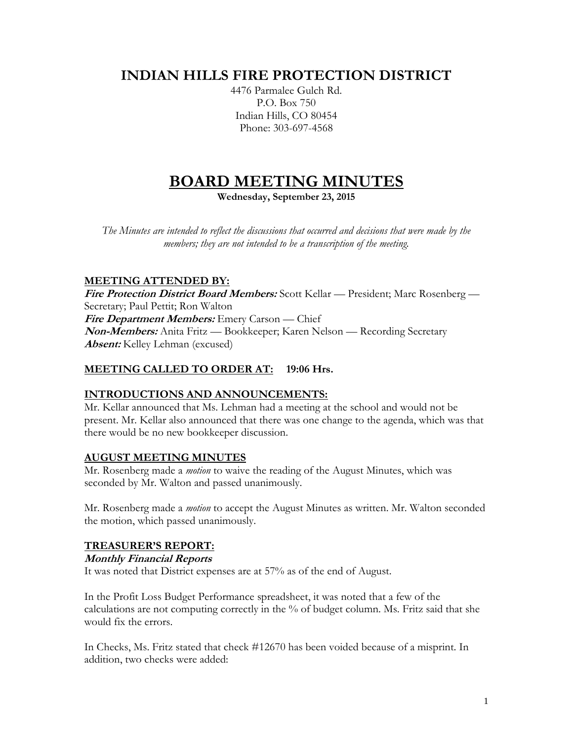## **INDIAN HILLS FIRE PROTECTION DISTRICT**

4476 Parmalee Gulch Rd. P.O. Box 750 Indian Hills, CO 80454 Phone: 303-697-4568

# **BOARD MEETING MINUTES**

**Wednesday, September 23, 2015**

*The Minutes are intended to reflect the discussions that occurred and decisions that were made by the members; they are not intended to be a transcription of the meeting.*

## **MEETING ATTENDED BY:**

**Fire Protection District Board Members:** Scott Kellar — President; Marc Rosenberg — Secretary; Paul Pettit; Ron Walton **Fire Department Members:** Emery Carson — Chief **Non-Members:** Anita Fritz — Bookkeeper; Karen Nelson — Recording Secretary **Absent:** Kelley Lehman (excused)

## **MEETING CALLED TO ORDER AT: 19:06 Hrs.**

## **INTRODUCTIONS AND ANNOUNCEMENTS:**

Mr. Kellar announced that Ms. Lehman had a meeting at the school and would not be present. Mr. Kellar also announced that there was one change to the agenda, which was that there would be no new bookkeeper discussion.

## **AUGUST MEETING MINUTES**

Mr. Rosenberg made a *motion* to waive the reading of the August Minutes, which was seconded by Mr. Walton and passed unanimously.

Mr. Rosenberg made a *motion* to accept the August Minutes as written. Mr. Walton seconded the motion, which passed unanimously.

## **TREASURER'S REPORT:**

#### **Monthly Financial Reports**

It was noted that District expenses are at 57% as of the end of August.

In the Profit Loss Budget Performance spreadsheet, it was noted that a few of the calculations are not computing correctly in the % of budget column. Ms. Fritz said that she would fix the errors.

In Checks, Ms. Fritz stated that check #12670 has been voided because of a misprint. In addition, two checks were added: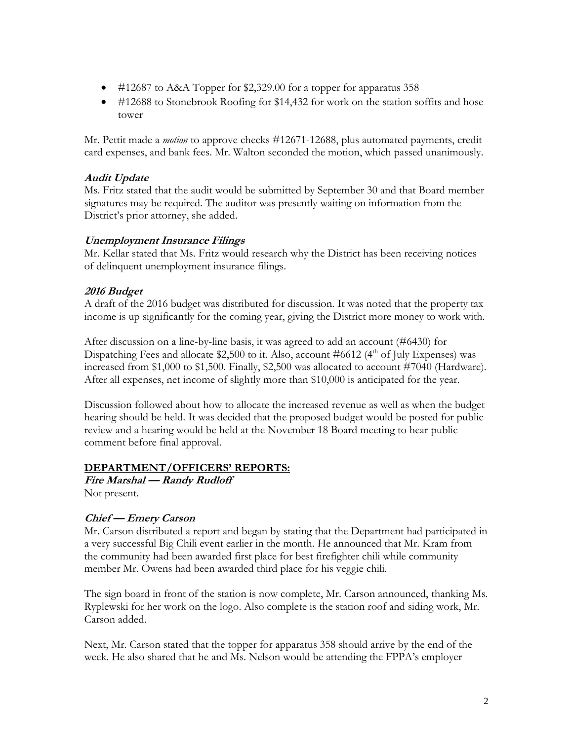- #12687 to A&A Topper for \$2,329.00 for a topper for apparatus 358
- #12688 to Stonebrook Roofing for \$14,432 for work on the station soffits and hose tower

Mr. Pettit made a *motion* to approve checks #12671-12688, plus automated payments, credit card expenses, and bank fees. Mr. Walton seconded the motion, which passed unanimously.

## **Audit Update**

Ms. Fritz stated that the audit would be submitted by September 30 and that Board member signatures may be required. The auditor was presently waiting on information from the District's prior attorney, she added.

#### **Unemployment Insurance Filings**

Mr. Kellar stated that Ms. Fritz would research why the District has been receiving notices of delinquent unemployment insurance filings.

## **2016 Budget**

A draft of the 2016 budget was distributed for discussion. It was noted that the property tax income is up significantly for the coming year, giving the District more money to work with.

After discussion on a line-by-line basis, it was agreed to add an account (#6430) for Dispatching Fees and allocate  $$2,500$  to it. Also, account #6612 (4<sup>th</sup> of July Expenses) was increased from \$1,000 to \$1,500. Finally, \$2,500 was allocated to account #7040 (Hardware). After all expenses, net income of slightly more than \$10,000 is anticipated for the year.

Discussion followed about how to allocate the increased revenue as well as when the budget hearing should be held. It was decided that the proposed budget would be posted for public review and a hearing would be held at the November 18 Board meeting to hear public comment before final approval.

#### **DEPARTMENT/OFFICERS' REPORTS:**

**Fire Marshal — Randy Rudloff** Not present.

## **Chief — Emery Carson**

Mr. Carson distributed a report and began by stating that the Department had participated in a very successful Big Chili event earlier in the month. He announced that Mr. Kram from the community had been awarded first place for best firefighter chili while community member Mr. Owens had been awarded third place for his veggie chili.

The sign board in front of the station is now complete, Mr. Carson announced, thanking Ms. Ryplewski for her work on the logo. Also complete is the station roof and siding work, Mr. Carson added.

Next, Mr. Carson stated that the topper for apparatus 358 should arrive by the end of the week. He also shared that he and Ms. Nelson would be attending the FPPA's employer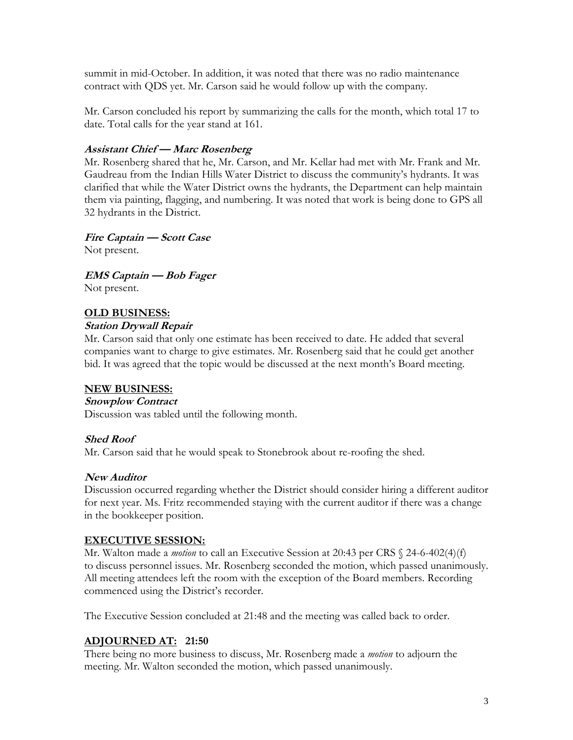summit in mid-October. In addition, it was noted that there was no radio maintenance contract with QDS yet. Mr. Carson said he would follow up with the company.

Mr. Carson concluded his report by summarizing the calls for the month, which total 17 to date. Total calls for the year stand at 161.

#### **Assistant Chief — Marc Rosenberg**

Mr. Rosenberg shared that he, Mr. Carson, and Mr. Kellar had met with Mr. Frank and Mr. Gaudreau from the Indian Hills Water District to discuss the community's hydrants. It was clarified that while the Water District owns the hydrants, the Department can help maintain them via painting, flagging, and numbering. It was noted that work is being done to GPS all 32 hydrants in the District.

### **Fire Captain — Scott Case**

Not present.

**EMS Captain — Bob Fager**

Not present.

#### **OLD BUSINESS:**

#### **Station Drywall Repair**

Mr. Carson said that only one estimate has been received to date. He added that several companies want to charge to give estimates. Mr. Rosenberg said that he could get another bid. It was agreed that the topic would be discussed at the next month's Board meeting.

#### **NEW BUSINESS:**

#### **Snowplow Contract**

Discussion was tabled until the following month.

#### **Shed Roof**

Mr. Carson said that he would speak to Stonebrook about re-roofing the shed.

#### **New Auditor**

Discussion occurred regarding whether the District should consider hiring a different auditor for next year. Ms. Fritz recommended staying with the current auditor if there was a change in the bookkeeper position.

#### **EXECUTIVE SESSION:**

Mr. Walton made a *motion* to call an Executive Session at 20:43 per CRS § 24-6-402(4)(f) to discuss personnel issues. Mr. Rosenberg seconded the motion, which passed unanimously. All meeting attendees left the room with the exception of the Board members. Recording commenced using the District's recorder.

The Executive Session concluded at 21:48 and the meeting was called back to order.

## **ADJOURNED AT: 21:50**

There being no more business to discuss, Mr. Rosenberg made a *motion* to adjourn the meeting. Mr. Walton seconded the motion, which passed unanimously.